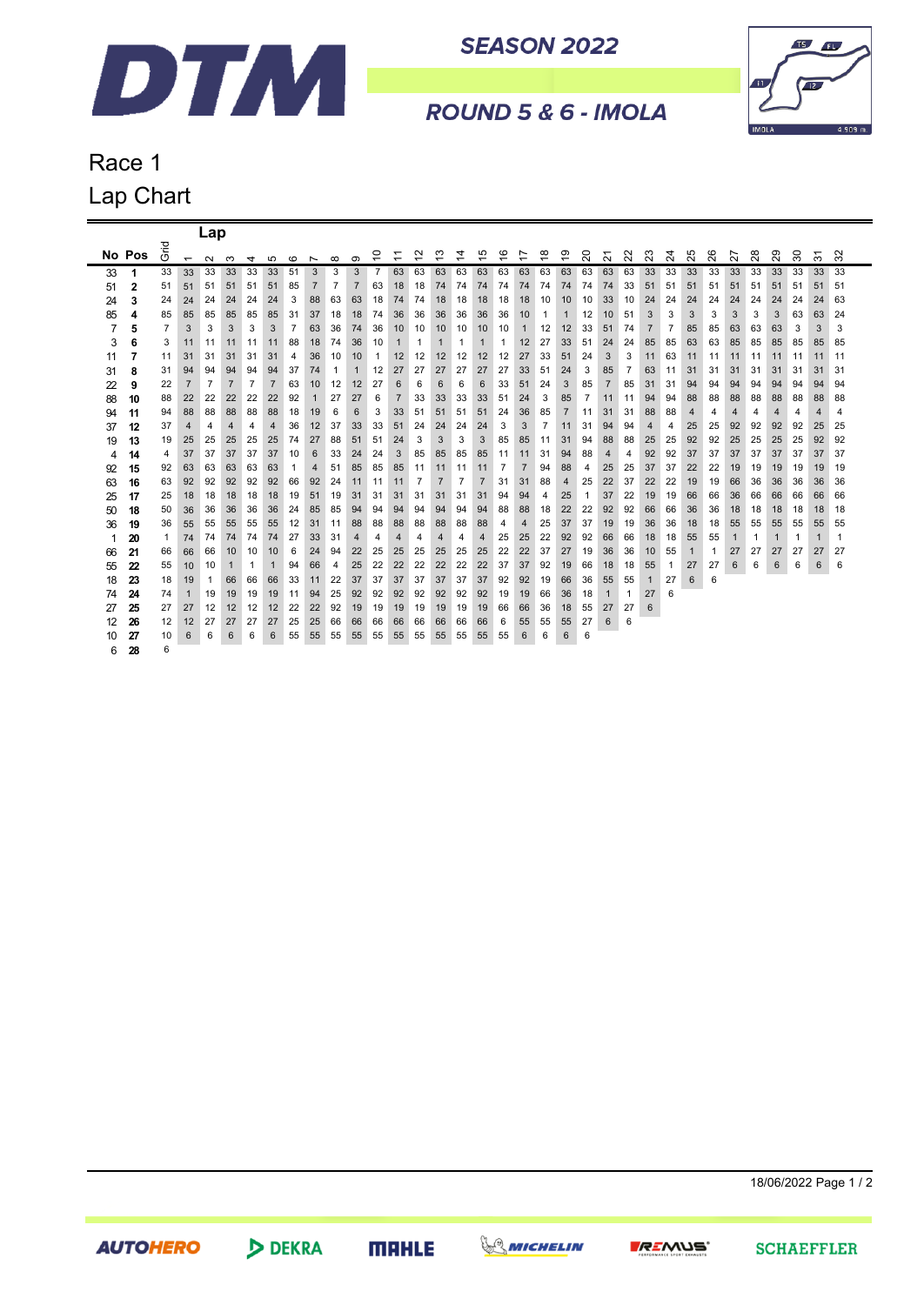

**SEASON 2022** 



ROUND 5 & 6 - IMOLA

## Race 1 Lap Chart

|    |        |              |                          | Lap            |                |                |                |                |                |                |                |                |                                                      |                                    |                |                |                               |                |                               |                |                |                |                                    |                |                |                |    |    |    |    |    |        |    |             |
|----|--------|--------------|--------------------------|----------------|----------------|----------------|----------------|----------------|----------------|----------------|----------------|----------------|------------------------------------------------------|------------------------------------|----------------|----------------|-------------------------------|----------------|-------------------------------|----------------|----------------|----------------|------------------------------------|----------------|----------------|----------------|----|----|----|----|----|--------|----|-------------|
|    | No Pos | 곧<br>O       | $\overline{\phantom{0}}$ | $\sim$         | ო              | 4              | ഹ              | ဖ              |                | $\infty$       | ၜ              | ₽              | $\overline{\phantom{0}}$<br>$\overline{\phantom{0}}$ | $\sim$<br>$\overline{\phantom{0}}$ | ო              | 4              | Ю<br>$\overline{\phantom{0}}$ | $\frac{6}{5}$  | r<br>$\overline{\phantom{0}}$ | $\frac{8}{1}$  | စ္             | 20             | $\overline{\phantom{0}}$<br>$\sim$ | ನ              | ಔ              | $\overline{2}$ | 25 | 26 | 27 | 28 | 29 | $30\,$ | ᡖ  | $\sim$<br>ო |
| 33 | 1      | 33           | 33                       | 33             | 33             | 33             | 33             | 51             | Z<br>3         | 3              | 3              | $\overline{7}$ | 63                                                   | 63                                 | 63             | 63             | 63                            | 63             | 63                            | 63             | 63             | 63             | 63                                 | 63             | 33             | 33             | 33 | 33 | 33 | 33 | 33 | 33     | 33 | 33          |
| 51 | 2      | 51           | 51                       | 51             | 51             | 51             | 51             | 85             | $\overline{7}$ | $\overline{7}$ | $\overline{7}$ | 63             | 18                                                   | 18                                 | 74             | 74             | 74                            | 74             | 74                            | 74             | 74             | 74             | 74                                 | 33             | 51             | 51             | 51 | 51 | 51 | 51 | 51 | 51     | 51 | 51          |
| 24 | 3      | 24           | 24                       | 24             | 24             | 24             | 24             | 3              | 88             | 63             | 63             | 18             | 74                                                   | 74                                 | 18             | 18             | 18                            | 18             | 18                            | 10             | 10             | 10             | 33                                 | 10             | 24             | 24             | 24 | 24 | 24 | 24 | 24 | 24     | 24 | 63          |
| 85 | 4      | 85           | 85                       | 85             | 85             | 85             | 85             | 31             | 37             | 18             | 18             | 74             | 36                                                   | 36                                 | 36             | 36             | 36                            | 36             | 10                            | 1              | 1              | 12             | 10                                 | 51             | 3              | 3              | 3  | 3  | 3  | 3  | 3  | 63     | 63 | 24          |
| 7  | 5      | 7            | 3                        | 3              | 3              | 3              | 3              | $\overline{7}$ | 63             | 36             | 74             | 36             | 10                                                   | 10                                 | 10             | 10             | 10                            | 10             | 1                             | 12             | 12             | 33             | 51                                 | 74             | $\overline{7}$ | 7              | 85 | 85 | 63 | 63 | 63 | 3      | 3  | 3           |
| 3  | 6      | 3            | 11                       | 11             | 11             | 11             | 11             | 88             | 18             | 74             | 36             | 10             | 1                                                    | 1                                  | 1              | 1              | 1                             | 1              | 12                            | 27             | 33             | 51             | 24                                 | 24             | 85             | 85             | 63 | 63 | 85 | 85 | 85 | 85     | 85 | 85          |
| 11 | 7      | 11           | 31                       | 31             | 31             | 31             | 31             | 4              | 36             | 10             | 10             | $\mathbf{1}$   | 12                                                   | 12                                 | 12             | 12             | 12                            | 12             | 27                            | 33             | 51             | 24             | 3                                  | 3              | 11             | 63             | 11 | 11 | 11 | 11 | 11 | 11     | 11 | 11          |
| 31 | 8      | 31           | 94                       | 94             | 94             | 94             | 94             | 37             | 74             | 1              | 1              | 12             | 27                                                   | 27                                 | 27             | 27             | 27                            | 27             | 33                            | 51             | 24             | 3              | 85                                 | $\overline{7}$ | 63             | 11             | 31 | 31 | 31 | 31 | 31 | 31     | 31 | 31          |
| 22 | 9      | 22           | $\overline{7}$           | $\overline{7}$ | $\overline{7}$ | $\overline{7}$ | $\overline{7}$ | 63             | 10             | 12             | 12             | 27             | 6                                                    | 6                                  | 6              | 6              | 6                             | 33             | 51                            | 24             | 3              | 85             | $\overline{7}$                     | 85             | 31             | 31             | 94 | 94 | 94 | 94 | 94 | 94     | 94 | 94          |
| 88 | 10     | 88           | 22                       | 22             | 22             | 22             | 22             | 92             | $\mathbf{1}$   | 27             | 27             | 6              | $\overline{7}$                                       | 33                                 | 33             | 33             | 33                            | 51             | 24                            | 3              | 85             | $\overline{7}$ | 11                                 | 11             | 94             | 94             | 88 | 88 | 88 | 88 | 88 | 88     | 88 | 88          |
| 94 | 11     | 94           | 88                       | 88             | 88             | 88             | 88             | 18             | 19             | 6              | 6              | 3              | 33                                                   | 51                                 | 51             | 51             | 51                            | 24             | 36                            | 85             | $\overline{7}$ | 11             | 31                                 | 31             | 88             | 88             | 4  | 4  | 4  | 4  | 4  | 4      | 4  | 4           |
| 37 | 12     | 37           | $\overline{4}$           | 4              | 4              | 4              | 4              | 36             | 12             | 37             | 33             | 33             | 51                                                   | 24                                 | 24             | 24             | 24                            | 3              | 3                             | $\overline{7}$ | 11             | 31             | 94                                 | 94             | 4              | 4              | 25 | 25 | 92 | 92 | 92 | 92     | 25 | 25          |
| 19 | 13     | 19           | 25                       | 25             | 25             | 25             | 25             | 74             | 27             | 88             | 51             | 51             | 24                                                   | 3                                  | 3              | 3              | 3                             | 85             | 85                            | 11             | 31             | 94             | 88                                 | 88             | 25             | 25             | 92 | 92 | 25 | 25 | 25 | 25     | 92 | 92          |
| 4  | 14     | 4            | 37                       | 37             | 37             | 37             | 37             | 10             | 6              | 33             | 24             | 24             | 3                                                    | 85                                 | 85             | 85             | 85                            | 11             | 11                            | 31             | 94             | 88             | 4                                  | 4              | 92             | 92             | 37 | 37 | 37 | 37 | 37 | 37     | 37 | 37          |
| 92 | 15     | 92           | 63                       | 63             | 63             | 63             | 63             | 1              | 4              | 51             | 85             | 85             | 85                                                   | 11                                 | 11             | 11             | 11                            | $\overline{7}$ | $\overline{7}$                | 94             | 88             | 4              | 25                                 | 25             | 37             | 37             | 22 | 22 | 19 | 19 | 19 | 19     | 19 | 19          |
| 63 | 16     | 63           | 92                       | 92             | 92             | 92             | 92             | 66             | 92             | 24             | 11             | 11             | 11                                                   | $\overline{7}$                     | $\overline{7}$ | $\overline{7}$ | $\overline{7}$                | 31             | 31                            | 88             | 4              | 25             | 22                                 | 37             | 22             | 22             | 19 | 19 | 66 | 36 | 36 | 36     | 36 | 36          |
| 25 | 17     | 25           | 18                       | 18             | 18             | 18             | 18             | 19             | 51             | 19             | 31             | 31             | 31                                                   | 31                                 | 31             | 31             | 31                            | 94             | 94                            | 4              | 25             | $\mathbf{1}$   | 37                                 | 22             | 19             | 19             | 66 | 66 | 36 | 66 | 66 | 66     | 66 | 66          |
| 50 | 18     | 50           | 36                       | 36             | 36             | 36             | 36             | 24             | 85             | 85             | 94             | 94             | 94                                                   | 94                                 | 94             | 94             | 94                            | 88             | 88                            | 18             | 22             | 22             | 92                                 | 92             | 66             | 66             | 36 | 36 | 18 | 18 | 18 | 18     | 18 | 18          |
| 36 | 19     | 36           | 55                       | 55             | 55             | 55             | 55             | 12             | 31             | 11             | 88             | 88             | 88                                                   | 88                                 | 88             | 88             | 88                            | 4              | 4                             | 25             | 37             | 37             | 19                                 | 19             | 36             | 36             | 18 | 18 | 55 | 55 | 55 | 55     | 55 | 55          |
| 1  | 20     | $\mathbf{1}$ | 74                       | 74             | 74             | 74             | 74             | 27             | 33             | 31             | 4              | 4              | 4                                                    | 4                                  | 4              | 4              | 4                             | 25             | 25                            | 22             | 92             | 92             | 66                                 | 66             | 18             | 18             | 55 | 55 |    |    |    | 1      |    |             |
| 66 | 21     | 66           | 66                       | 66             | 10             | 10             | 10             | 6              | 24             | 94             | 22             | 25             | 25                                                   | 25                                 | 25             | 25             | 25                            | 22             | 22                            | 37             | 27             | 19             | 36                                 | 36             | 10             | 55             |    | 1  | 27 | 27 | 27 | 27     | 27 | 27          |
| 55 | 22     | 55           | 10                       | 10             | $\mathbf 1$    | $\mathbf{1}$   | $\mathbf{1}$   | 94             | 66             | 4              | 25             | 22             | 22                                                   | 22                                 | 22             | 22             | 22                            | 37             | 37                            | 92             | 19             | 66             | 18                                 | 18             | 55             | 1              | 27 | 27 | 6  | 6  | 6  | 6      | 6  | 6           |
| 18 | 23     | 18           | 19                       | -1             | 66             | 66             | 66             | 33             | 11             | 22             | 37             | 37             | 37                                                   | 37                                 | 37             | 37             | 37                            | 92             | 92                            | 19             | 66             | 36             | 55                                 | 55             | 1              | 27             | 6  | 6  |    |    |    |        |    |             |
| 74 | 24     | 74           | $\mathbf{1}$             | 19             | 19             | 19             | 19             | 11             | 94             | 25             | 92             | 92             | 92                                                   | 92                                 | 92             | 92             | 92                            | 19             | 19                            | 66             | 36             | 18             | 1                                  | 1              | 27             | 6              |    |    |    |    |    |        |    |             |
| 27 | 25     | 27           | 27                       | 12             | 12             | 12             | 12             | 22             | 22             | 92             | 19             | 19             | 19                                                   | 19                                 | 19             | 19             | 19                            | 66             | 66                            | 36             | 18             | 55             | 27                                 | 27             | 6              |                |    |    |    |    |    |        |    |             |
| 12 | 26     | 12           | 12                       | 27             | 27             | 27             | 27             | 25             | 25             | 66             | 66             | 66             | 66                                                   | 66                                 | 66             | 66             | 66                            | 6              | 55                            | 55             | 55             | 27             | 6                                  | 6              |                |                |    |    |    |    |    |        |    |             |
| 10 | 27     | 10           | 6                        | 6              | 6              | 6              | 6              | 55             | 55             | 55             | 55             | 55             | 55                                                   | 55                                 | 55             | 55             | 55                            | 55             | 6                             | 6              | 6              | 6              |                                    |                |                |                |    |    |    |    |    |        |    |             |
| 6  | 28     | 6            |                          |                |                |                |                |                |                |                |                |                |                                                      |                                    |                |                |                               |                |                               |                |                |                |                                    |                |                |                |    |    |    |    |    |        |    |             |

18/06/2022 Page 1 / 2